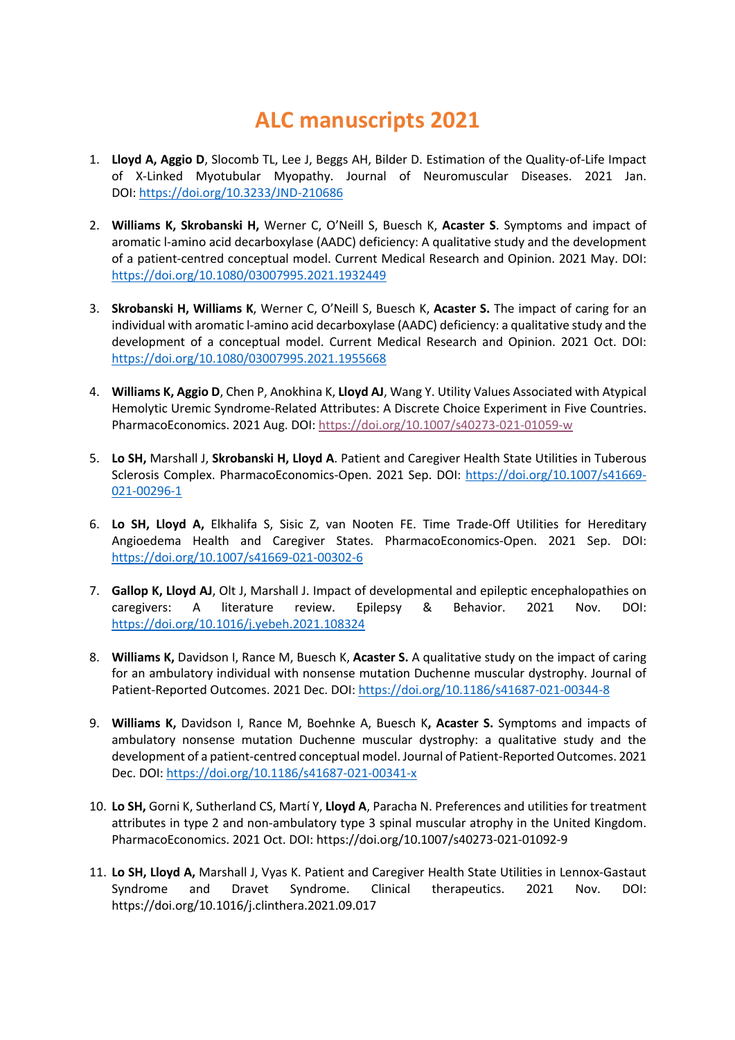## **ALC manuscripts 2021**

- 1. **Lloyd A, Aggio D**, Slocomb TL, Lee J, Beggs AH, Bilder D. Estimation of the Quality-of-Life Impact of X-Linked Myotubular Myopathy. Journal of Neuromuscular Diseases. 2021 Jan. DOI: https://doi.org/10.3233/JND-210686
- 2. **Williams K, Skrobanski H,** Werner C, O'Neill S, Buesch K, **Acaster S**. Symptoms and impact of aromatic l-amino acid decarboxylase (AADC) deficiency: A qualitative study and the development of a patient-centred conceptual model. Current Medical Research and Opinion. 2021 May. DOI: https://doi.org/10.1080/03007995.2021.1932449
- 3. **Skrobanski H, Williams K**, Werner C, O'Neill S, Buesch K, **Acaster S.** The impact of caring for an individual with aromatic l-amino acid decarboxylase (AADC) deficiency: a qualitative study and the development of a conceptual model. Current Medical Research and Opinion. 2021 Oct. DOI: https://doi.org/10.1080/03007995.2021.1955668
- 4. **Williams K, Aggio D**, Chen P, Anokhina K, **Lloyd AJ**, Wang Y. Utility Values Associated with Atypical Hemolytic Uremic Syndrome-Related Attributes: A Discrete Choice Experiment in Five Countries. PharmacoEconomics. 2021 Aug. DOI: https://doi.org/10.1007/s40273-021-01059-w
- 5. **Lo SH,** Marshall J, **Skrobanski H, Lloyd A**. Patient and Caregiver Health State Utilities in Tuberous Sclerosis Complex. PharmacoEconomics-Open. 2021 Sep. DOI: https://doi.org/10.1007/s41669-021-00296-1
- 6. **Lo SH, Lloyd A,** Elkhalifa S, Sisic Z, van Nooten FE. Time Trade-Off Utilities for Hereditary Angioedema Health and Caregiver States. PharmacoEconomics-Open. 2021 Sep. DOI: https://doi.org/10.1007/s41669-021-00302-6
- 7. **Gallop K, Lloyd AJ**, Olt J, Marshall J. Impact of developmental and epileptic encephalopathies on caregivers: A literature review. Epilepsy & Behavior. 2021 Nov. DOI: https://doi.org/10.1016/j.yebeh.2021.108324
- 8. **Williams K,** Davidson I, Rance M, Buesch K, **Acaster S.** A qualitative study on the impact of caring for an ambulatory individual with nonsense mutation Duchenne muscular dystrophy. Journal of Patient-Reported Outcomes. 2021 Dec. DOI: https://doi.org/10.1186/s41687-021-00344-8
- 9. **Williams K,** Davidson I, Rance M, Boehnke A, Buesch K**, Acaster S.** Symptoms and impacts of ambulatory nonsense mutation Duchenne muscular dystrophy: a qualitative study and the development of a patient-centred conceptual model. Journal of Patient-Reported Outcomes. 2021 Dec. DOI: https://doi.org/10.1186/s41687-021-00341-x
- 10. **Lo SH,** Gorni K, Sutherland CS, Martí Y, **Lloyd A**, Paracha N. Preferences and utilities for treatment attributes in type 2 and non-ambulatory type 3 spinal muscular atrophy in the United Kingdom. PharmacoEconomics. 2021 Oct. DOI: https://doi.org/10.1007/s40273-021-01092-9
- 11. **Lo SH, Lloyd A,** Marshall J, Vyas K. Patient and Caregiver Health State Utilities in Lennox-Gastaut Syndrome and Dravet Syndrome. Clinical therapeutics. 2021 Nov. DOI: https://doi.org/10.1016/j.clinthera.2021.09.017